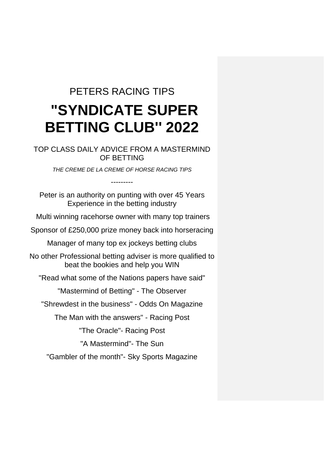## PETERS RACING TIPS **"SYNDICATE SUPER BETTING CLUB'' 2022**

TOP CLASS DAILY ADVICE FROM A MASTERMIND OF BETTING

*THE CREME DE LA CREME OF HORSE RACING TIPS*

---------

Peter is an authority on punting with over 45 Years Experience in the betting industry

Multi winning racehorse owner with many top trainers

Sponsor of £250,000 prize money back into horseracing

Manager of many top ex jockeys betting clubs

No other Professional betting adviser is more qualified to beat the bookies and help you WIN

"Read what some of the Nations papers have said"

"Mastermind of Betting" - The Observer

"Shrewdest in the business" - Odds On Magazine

The Man with the answers" - Racing Post

"The Oracle"- Racing Post

"A Mastermind"- The Sun

"Gambler of the month"- Sky Sports Magazine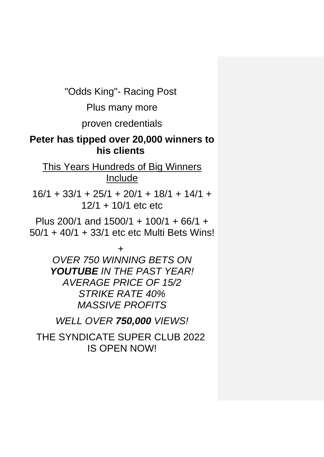"Odds King"- Racing Post

Plus many more

proven credentials

### **Peter has tipped over 20,000 winners to his clients**

This Years Hundreds of Big Winners **Include** 

 $16/1 + 33/1 + 25/1 + 20/1 + 18/1 + 14/1 +$ 12/1 + 10/1 etc etc

Plus 200/1 and 1500/1 + 100/1 + 66/1 + 50/1 + 40/1 + 33/1 etc etc Multi Bets Wins!

> *+ OVER 750 WINNING BETS ON YOUTUBE IN THE PAST YEAR! AVERAGE PRICE OF 15/2 STRIKE RATE 40% MASSIVE PROFITS*

*WELL OVER 750,000 VIEWS!*

THE SYNDICATE SUPER CLUB 2022 IS OPEN NOW!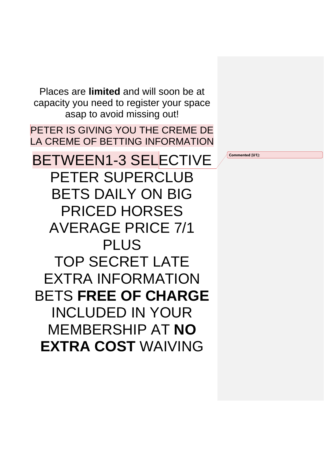Places are **limited** and will soon be at capacity you need to register your space asap to avoid missing out!

PETER IS GIVING YOU THE CREME DE LA CREME OF BETTING INFORMATION

BETWEEN1-3 SELECTIVE PETER SUPERCLUB BETS DAILY ON BIG PRICED HORSES AVERAGE PRICE 7/1 PLUS TOP SECRET LATE EXTRA INFORMATION BETS **FREE OF CHARGE** INCLUDED IN YOUR MEMBERSHIP AT **NO EXTRA COST** WAIVING

**Commented [U1]:**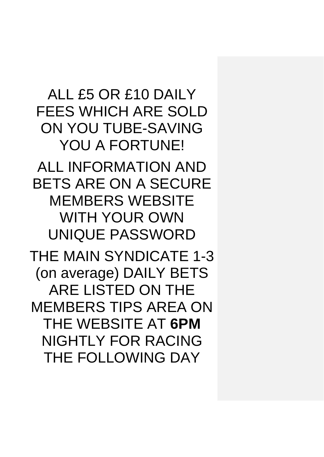ALL £5 OR £10 DAILY FEES WHICH ARE SOLD ON YOU TUBE-SAVING YOU A FORTUNE! ALL INFORMATION AND BETS ARE ON A SECURE MEMBERS WEBSITE WITH YOUR OWN UNIQUE PASSWORD THE MAIN SYNDICATE 1-3 (on average) DAILY BETS ARE LISTED ON THE MEMBERS TIPS AREA ON THE WEBSITE AT **6PM** NIGHTLY FOR RACING THE FOLLOWING DAY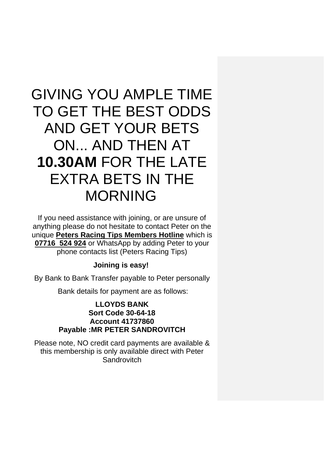# GIVING YOU AMPLE TIME TO GET THE BEST ODDS AND GET YOUR BETS ON... AND THEN AT **10.30AM** FOR THE LATE EXTRA BETS IN THE MORNING

If you need assistance with joining, or are unsure of anything please do not hesitate to contact Peter on the unique **Peters Racing Tips Members Hotline** which is **07716 524 924** or WhatsApp by adding Peter to your phone contacts list (Peters Racing Tips)

#### **Joining is easy!**

By Bank to Bank Transfer payable to Peter personally

Bank details for payment are as follows:

#### **LLOYDS BANK Sort Code 30-64-18 Account 41737860 Payable :MR PETER SANDROVITCH**

Please note, NO credit card payments are available & this membership is only available direct with Peter **Sandrovitch**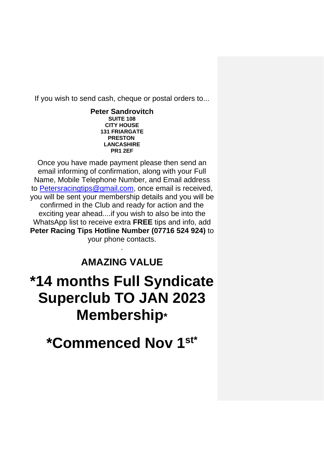If you wish to send cash, cheque or postal orders to...

**Peter Sandrovitch SUITE 108 CITY HOUSE 131 FRIARGATE PRESTON LANCASHIRE PR1 2EF**

Once you have made payment please then send an email informing of confirmation, along with your Full Name, Mobile Telephone Number, and Email address to [Petersracingtips@gmail.com,](mailto:Petersracingtips@gmail.com) once email is received, you will be sent your membership details and you will be confirmed in the Club and ready for action and the exciting year ahead....if you wish to also be into the WhatsApp list to receive extra **FREE** tips and info, add **Peter Racing Tips Hotline Number (07716 524 924)** to your phone contacts.

### **AMAZING VALUE**

.

## **\*14 months Full Syndicate Superclub TO JAN 2023 Membership\***

**\*Commenced Nov 1st\***